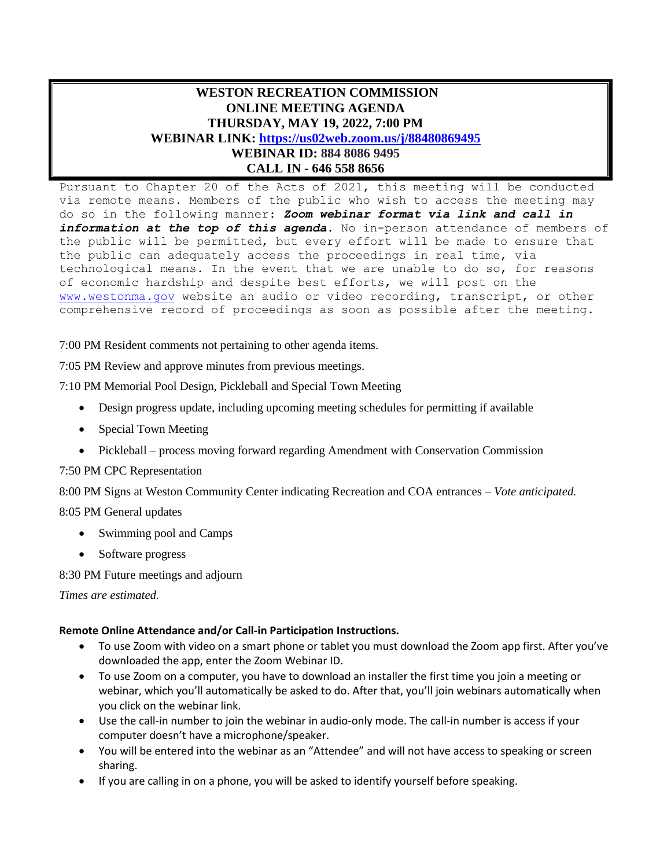## **WESTON RECREATION COMMISSION ONLINE MEETING AGENDA THURSDAY, MAY 19, 2022, 7:00 PM WEBINAR LINK: <https://us02web.zoom.us/j/88480869495> WEBINAR ID: 884 8086 9495 CALL IN - 646 558 8656**

Pursuant to Chapter 20 of the Acts of 2021, this meeting will be conducted via remote means. Members of the public who wish to access the meeting may do so in the following manner: *Zoom webinar format via link and call in information at the top of this agenda*. No in-person attendance of members of the public will be permitted, but every effort will be made to ensure that the public can adequately access the proceedings in real time, via technological means. In the event that we are unable to do so, for reasons of economic hardship and despite best efforts, we will post on the [www.westonma.gov](http://www.westonma.gov/) website an audio or video recording, transcript, or other comprehensive record of proceedings as soon as possible after the meeting.

7:00 PM Resident comments not pertaining to other agenda items.

7:05 PM Review and approve minutes from previous meetings.

7:10 PM Memorial Pool Design, Pickleball and Special Town Meeting

- Design progress update, including upcoming meeting schedules for permitting if available
- Special Town Meeting
- Pickleball process moving forward regarding Amendment with Conservation Commission

## 7:50 PM CPC Representation

8:00 PM Signs at Weston Community Center indicating Recreation and COA entrances – *Vote anticipated.*

8:05 PM General updates

- Swimming pool and Camps
- Software progress

8:30 PM Future meetings and adjourn

*Times are estimated.*

## **Remote Online Attendance and/or Call-in Participation Instructions.**

- To use Zoom with video on a smart phone or tablet you must download the Zoom app first. After you've downloaded the app, enter the Zoom Webinar ID.
- To use Zoom on a computer, you have to download an installer the first time you join a meeting or webinar, which you'll automatically be asked to do. After that, you'll join webinars automatically when you click on the webinar link.
- Use the call-in number to join the webinar in audio-only mode. The call-in number is access if your computer doesn't have a microphone/speaker.
- You will be entered into the webinar as an "Attendee" and will not have access to speaking or screen sharing.
- If you are calling in on a phone, you will be asked to identify yourself before speaking.